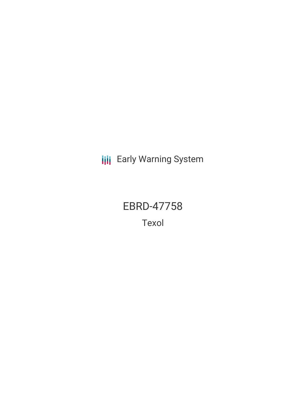**III** Early Warning System

EBRD-47758 Texol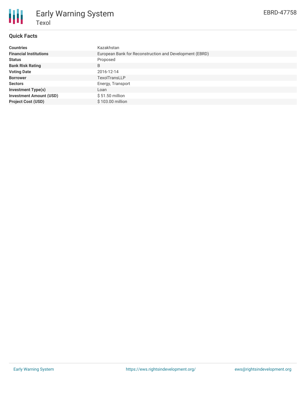

## **Quick Facts**

Texol

Early Warning System

| <b>Countries</b>               | Kazakhstan                                              |
|--------------------------------|---------------------------------------------------------|
| <b>Financial Institutions</b>  | European Bank for Reconstruction and Development (EBRD) |
| <b>Status</b>                  | Proposed                                                |
| <b>Bank Risk Rating</b>        | B                                                       |
| <b>Voting Date</b>             | 2016-12-14                                              |
| <b>Borrower</b>                | <b>TexolTransLLP</b>                                    |
| <b>Sectors</b>                 | Energy, Transport                                       |
| <b>Investment Type(s)</b>      | Loan                                                    |
| <b>Investment Amount (USD)</b> | $$51.50$ million                                        |
| <b>Project Cost (USD)</b>      | \$103.00 million                                        |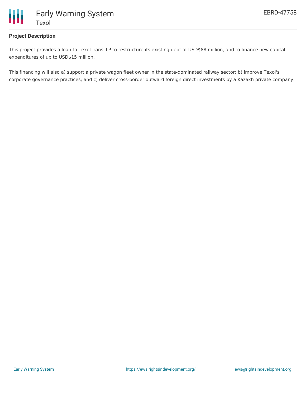

## **Project Description**

This project provides a loan to TexolTransLLP to restructure its existing debt of USD\$88 million, and to finance new capital expenditures of up to USD\$15 million.

This financing will also a) support a private wagon fleet owner in the state-dominated railway sector; b) improve Texol's corporate governance practices; and c) deliver cross-border outward foreign direct investments by a Kazakh private company.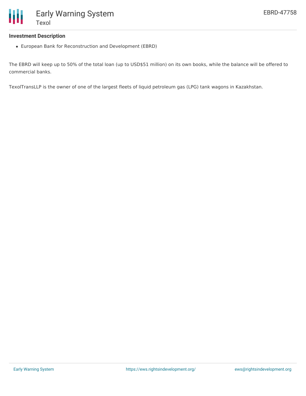## **Investment Description**

European Bank for Reconstruction and Development (EBRD)

The EBRD will keep up to 50% of the total loan (up to USD\$51 million) on its own books, while the balance will be offered to commercial banks.

TexolTransLLP is the owner of one of the largest fleets of liquid petroleum gas (LPG) tank wagons in Kazakhstan.